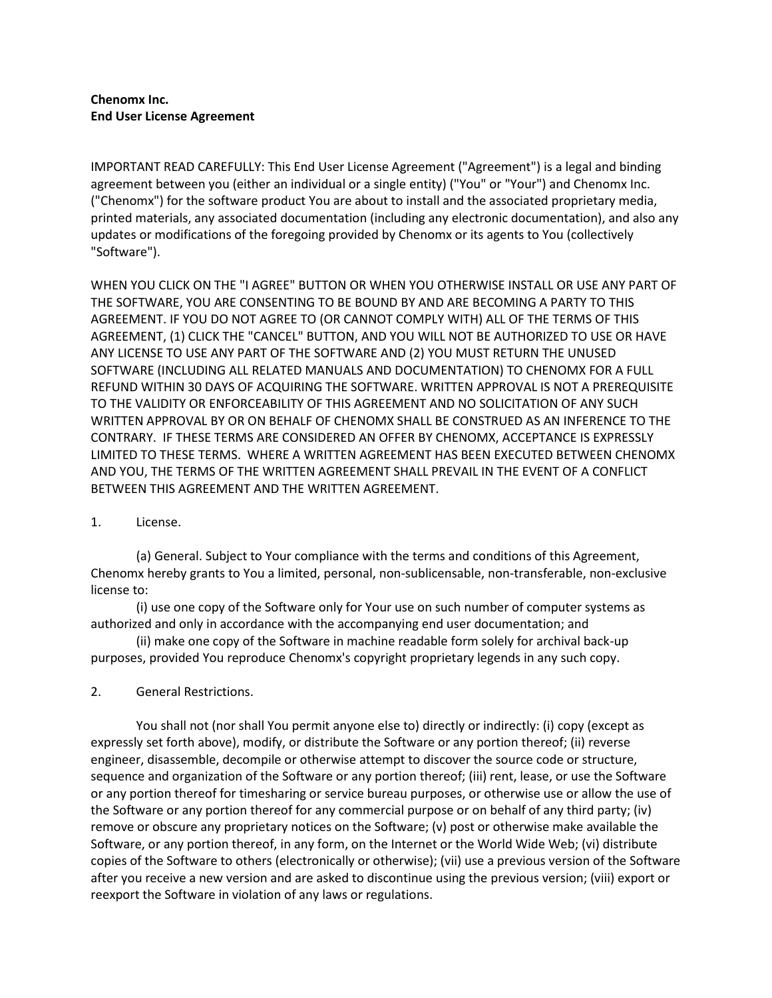## **Chenomx Inc. End User License Agreement**

IMPORTANT READ CAREFULLY: This End User License Agreement ("Agreement") is a legal and binding agreement between you (either an individual or a single entity) ("You" or "Your") and Chenomx Inc. ("Chenomx") for the software product You are about to install and the associated proprietary media, printed materials, any associated documentation (including any electronic documentation), and also any updates or modifications of the foregoing provided by Chenomx or its agents to You (collectively "Software").

WHEN YOU CLICK ON THE "I AGREE" BUTTON OR WHEN YOU OTHERWISE INSTALL OR USE ANY PART OF THE SOFTWARE, YOU ARE CONSENTING TO BE BOUND BY AND ARE BECOMING A PARTY TO THIS AGREEMENT. IF YOU DO NOT AGREE TO (OR CANNOT COMPLY WITH) ALL OF THE TERMS OF THIS AGREEMENT, (1) CLICK THE "CANCEL" BUTTON, AND YOU WILL NOT BE AUTHORIZED TO USE OR HAVE ANY LICENSE TO USE ANY PART OF THE SOFTWARE AND (2) YOU MUST RETURN THE UNUSED SOFTWARE (INCLUDING ALL RELATED MANUALS AND DOCUMENTATION) TO CHENOMX FOR A FULL REFUND WITHIN 30 DAYS OF ACQUIRING THE SOFTWARE. WRITTEN APPROVAL IS NOT A PREREQUISITE TO THE VALIDITY OR ENFORCEABILITY OF THIS AGREEMENT AND NO SOLICITATION OF ANY SUCH WRITTEN APPROVAL BY OR ON BEHALF OF CHENOMX SHALL BE CONSTRUED AS AN INFERENCE TO THE CONTRARY. IF THESE TERMS ARE CONSIDERED AN OFFER BY CHENOMX, ACCEPTANCE IS EXPRESSLY LIMITED TO THESE TERMS. WHERE A WRITTEN AGREEMENT HAS BEEN EXECUTED BETWEEN CHENOMX AND YOU, THE TERMS OF THE WRITTEN AGREEMENT SHALL PREVAIL IN THE EVENT OF A CONFLICT BETWEEN THIS AGREEMENT AND THE WRITTEN AGREEMENT.

1. License.

(a) General. Subject to Your compliance with the terms and conditions of this Agreement, Chenomx hereby grants to You a limited, personal, non-sublicensable, non-transferable, non-exclusive license to:

(i) use one copy of the Software only for Your use on such number of computer systems as authorized and only in accordance with the accompanying end user documentation; and

(ii) make one copy of the Software in machine readable form solely for archival back-up purposes, provided You reproduce Chenomx's copyright proprietary legends in any such copy.

## 2. General Restrictions.

You shall not (nor shall You permit anyone else to) directly or indirectly: (i) copy (except as expressly set forth above), modify, or distribute the Software or any portion thereof; (ii) reverse engineer, disassemble, decompile or otherwise attempt to discover the source code or structure, sequence and organization of the Software or any portion thereof; (iii) rent, lease, or use the Software or any portion thereof for timesharing or service bureau purposes, or otherwise use or allow the use of the Software or any portion thereof for any commercial purpose or on behalf of any third party; (iv) remove or obscure any proprietary notices on the Software; (v) post or otherwise make available the Software, or any portion thereof, in any form, on the Internet or the World Wide Web; (vi) distribute copies of the Software to others (electronically or otherwise); (vii) use a previous version of the Software after you receive a new version and are asked to discontinue using the previous version; (viii) export or reexport the Software in violation of any laws or regulations.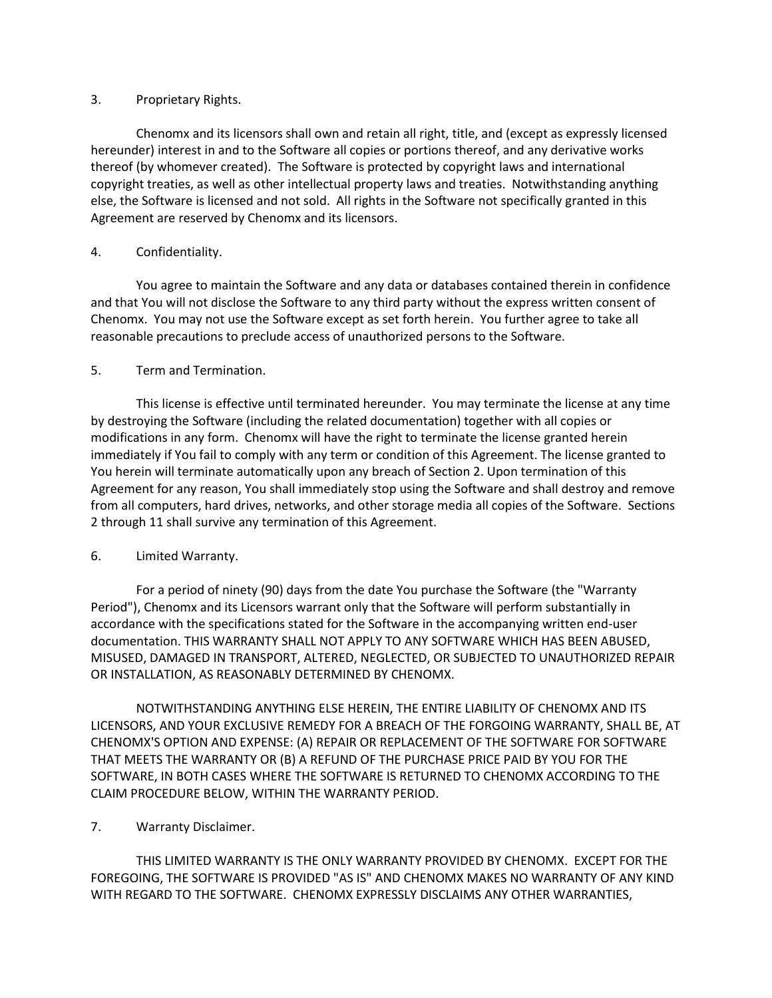## 3. Proprietary Rights.

Chenomx and its licensors shall own and retain all right, title, and (except as expressly licensed hereunder) interest in and to the Software all copies or portions thereof, and any derivative works thereof (by whomever created). The Software is protected by copyright laws and international copyright treaties, as well as other intellectual property laws and treaties. Notwithstanding anything else, the Software is licensed and not sold. All rights in the Software not specifically granted in this Agreement are reserved by Chenomx and its licensors.

## 4. Confidentiality.

You agree to maintain the Software and any data or databases contained therein in confidence and that You will not disclose the Software to any third party without the express written consent of Chenomx. You may not use the Software except as set forth herein. You further agree to take all reasonable precautions to preclude access of unauthorized persons to the Software.

## 5. Term and Termination.

This license is effective until terminated hereunder. You may terminate the license at any time by destroying the Software (including the related documentation) together with all copies or modifications in any form. Chenomx will have the right to terminate the license granted herein immediately if You fail to comply with any term or condition of this Agreement. The license granted to You herein will terminate automatically upon any breach of Section 2. Upon termination of this Agreement for any reason, You shall immediately stop using the Software and shall destroy and remove from all computers, hard drives, networks, and other storage media all copies of the Software. Sections 2 through 11 shall survive any termination of this Agreement.

## 6. Limited Warranty.

For a period of ninety (90) days from the date You purchase the Software (the "Warranty Period"), Chenomx and its Licensors warrant only that the Software will perform substantially in accordance with the specifications stated for the Software in the accompanying written end-user documentation. THIS WARRANTY SHALL NOT APPLY TO ANY SOFTWARE WHICH HAS BEEN ABUSED, MISUSED, DAMAGED IN TRANSPORT, ALTERED, NEGLECTED, OR SUBJECTED TO UNAUTHORIZED REPAIR OR INSTALLATION, AS REASONABLY DETERMINED BY CHENOMX.

NOTWITHSTANDING ANYTHING ELSE HEREIN, THE ENTIRE LIABILITY OF CHENOMX AND ITS LICENSORS, AND YOUR EXCLUSIVE REMEDY FOR A BREACH OF THE FORGOING WARRANTY, SHALL BE, AT CHENOMX'S OPTION AND EXPENSE: (A) REPAIR OR REPLACEMENT OF THE SOFTWARE FOR SOFTWARE THAT MEETS THE WARRANTY OR (B) A REFUND OF THE PURCHASE PRICE PAID BY YOU FOR THE SOFTWARE, IN BOTH CASES WHERE THE SOFTWARE IS RETURNED TO CHENOMX ACCORDING TO THE CLAIM PROCEDURE BELOW, WITHIN THE WARRANTY PERIOD.

# 7. Warranty Disclaimer.

THIS LIMITED WARRANTY IS THE ONLY WARRANTY PROVIDED BY CHENOMX. EXCEPT FOR THE FOREGOING, THE SOFTWARE IS PROVIDED "AS IS" AND CHENOMX MAKES NO WARRANTY OF ANY KIND WITH REGARD TO THE SOFTWARE. CHENOMX EXPRESSLY DISCLAIMS ANY OTHER WARRANTIES,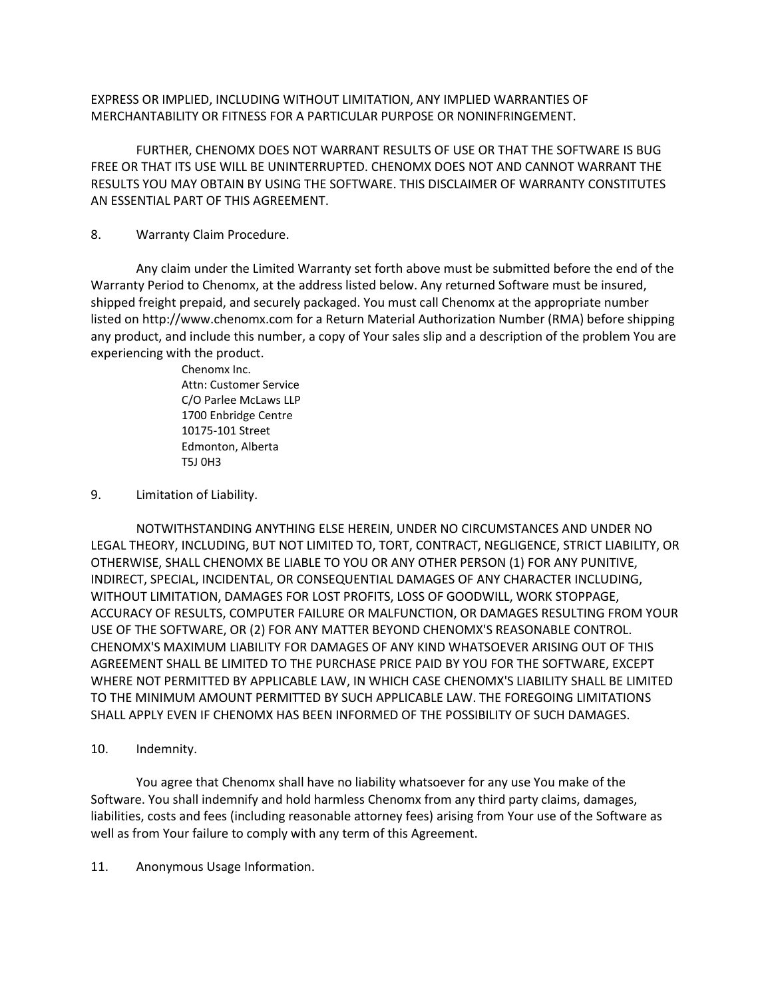EXPRESS OR IMPLIED, INCLUDING WITHOUT LIMITATION, ANY IMPLIED WARRANTIES OF MERCHANTABILITY OR FITNESS FOR A PARTICULAR PURPOSE OR NONINFRINGEMENT.

FURTHER, CHENOMX DOES NOT WARRANT RESULTS OF USE OR THAT THE SOFTWARE IS BUG FREE OR THAT ITS USE WILL BE UNINTERRUPTED. CHENOMX DOES NOT AND CANNOT WARRANT THE RESULTS YOU MAY OBTAIN BY USING THE SOFTWARE. THIS DISCLAIMER OF WARRANTY CONSTITUTES AN ESSENTIAL PART OF THIS AGREEMENT.

### 8. Warranty Claim Procedure.

Any claim under the Limited Warranty set forth above must be submitted before the end of the Warranty Period to Chenomx, at the address listed below. Any returned Software must be insured, shipped freight prepaid, and securely packaged. You must call Chenomx at the appropriate number listed on http://www.chenomx.com for a Return Material Authorization Number (RMA) before shipping any product, and include this number, a copy of Your sales slip and a description of the problem You are experiencing with the product.

> Chenomx Inc. Attn: Customer Service C/O Parlee McLaws LLP 1700 Enbridge Centre 10175-101 Street Edmonton, Alberta T5J 0H3

## 9. Limitation of Liability.

NOTWITHSTANDING ANYTHING ELSE HEREIN, UNDER NO CIRCUMSTANCES AND UNDER NO LEGAL THEORY, INCLUDING, BUT NOT LIMITED TO, TORT, CONTRACT, NEGLIGENCE, STRICT LIABILITY, OR OTHERWISE, SHALL CHENOMX BE LIABLE TO YOU OR ANY OTHER PERSON (1) FOR ANY PUNITIVE, INDIRECT, SPECIAL, INCIDENTAL, OR CONSEQUENTIAL DAMAGES OF ANY CHARACTER INCLUDING, WITHOUT LIMITATION, DAMAGES FOR LOST PROFITS, LOSS OF GOODWILL, WORK STOPPAGE, ACCURACY OF RESULTS, COMPUTER FAILURE OR MALFUNCTION, OR DAMAGES RESULTING FROM YOUR USE OF THE SOFTWARE, OR (2) FOR ANY MATTER BEYOND CHENOMX'S REASONABLE CONTROL. CHENOMX'S MAXIMUM LIABILITY FOR DAMAGES OF ANY KIND WHATSOEVER ARISING OUT OF THIS AGREEMENT SHALL BE LIMITED TO THE PURCHASE PRICE PAID BY YOU FOR THE SOFTWARE, EXCEPT WHERE NOT PERMITTED BY APPLICABLE LAW, IN WHICH CASE CHENOMX'S LIABILITY SHALL BE LIMITED TO THE MINIMUM AMOUNT PERMITTED BY SUCH APPLICABLE LAW. THE FOREGOING LIMITATIONS SHALL APPLY EVEN IF CHENOMX HAS BEEN INFORMED OF THE POSSIBILITY OF SUCH DAMAGES.

10. Indemnity.

You agree that Chenomx shall have no liability whatsoever for any use You make of the Software. You shall indemnify and hold harmless Chenomx from any third party claims, damages, liabilities, costs and fees (including reasonable attorney fees) arising from Your use of the Software as well as from Your failure to comply with any term of this Agreement.

11. Anonymous Usage Information.